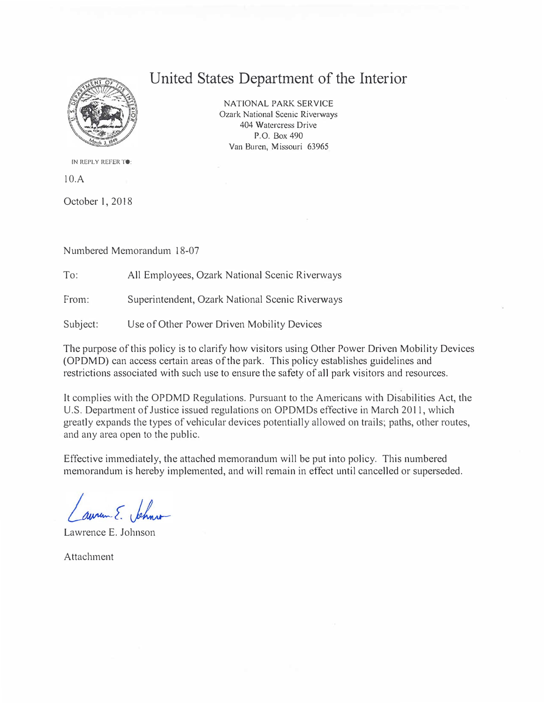

## **United States Department of the Interior**

NATIONAL PARK SERVICE Ozark National Scenic Riverways 404 Watercress Drive P.O. Box 490 Van Buren, Missouri 63965

IN REPLY REFER TO:

10.A

October 1, 2018

Numbered Memorandum 18-07

To: All Employees, Ozark National Scenic Riverways

From: Superintendent, Ozark National Scenic Riverways

Subject: Use of Other Power Driven Mobility Devices

The purpose of this policy is to clarify how visitors using Other Power Driven Mobility Devices (OPDMD) can access certain areas of the park. This policy establishes guidelines and restrictions associated with such use to ensure the safety of all park visitors and resources.

It complies with the OPDMD Regulations. Pursuant to the Americans with Disabilities Act, the U.S. Department of Justice issued regulations on OPDMDs effective in March 2011, which greatly expands the types of vehicular devices potentially allowed on trails; paths, other routes, and any area open to the public.

Effective immediately, the attached memorandum will be put into policy. This numbered memorandum is hereby implemented, and will remain in effect until cancelled or superseded.

aurem E. Jehnson

Lawrence E. Johnson

Attachment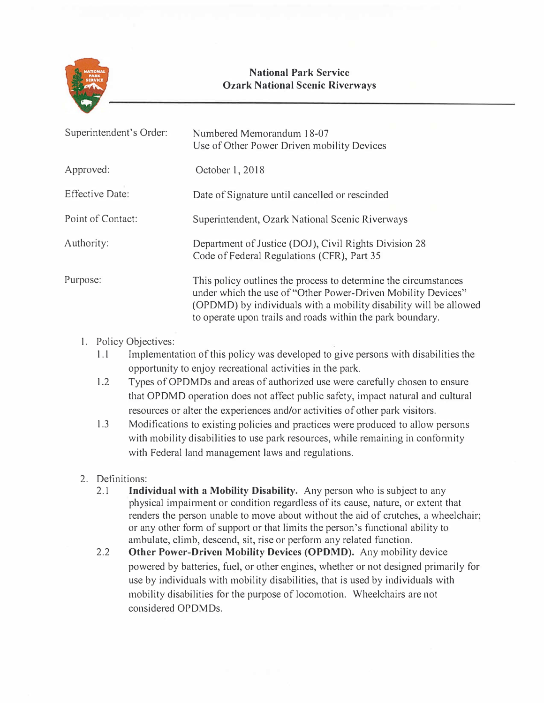

## **National Park Service Ozark National Scenic Riverways**

| Numbered Memorandum 18-07<br>Use of Other Power Driven mobility Devices                                                                                                                                                                                            |
|--------------------------------------------------------------------------------------------------------------------------------------------------------------------------------------------------------------------------------------------------------------------|
| October 1, 2018                                                                                                                                                                                                                                                    |
| Date of Signature until cancelled or rescinded                                                                                                                                                                                                                     |
| Superintendent, Ozark National Scenic Riverways                                                                                                                                                                                                                    |
| Department of Justice (DOJ), Civil Rights Division 28<br>Code of Federal Regulations (CFR), Part 35                                                                                                                                                                |
| This policy outlines the process to determine the circumstances<br>under which the use of "Other Power-Driven Mobility Devices"<br>(OPDMD) by individuals with a mobility disability will be allowed<br>to operate upon trails and roads within the park boundary. |
|                                                                                                                                                                                                                                                                    |

## 1. Policy Objectives:

- 1.1 Implementation of this policy was developed to give persons with disabilities the opportunity to enjoy recreational activities in the park.
- 1.2 Types of OPDMDs and areas of authorized use were carefully chosen to ensure that OPDMD operation does not affect public safety, impact natural and cultural resources or alter the experiences and/or activities of other park visitors.
- 1.3 Modifications to existing policies and practices were produced to allow persons with mobility disabilities to use park resources, while remaining in conformity with Federal land management laws and regulations.

## 2. Definitions:

- 2.1 **Individual with a Mobility Disability.** Any person who is subject to any physical impairment or condition regardless of its cause, nature, or extent that renders the person unable to move about without the aid of crutches, a wheelchair; or any other form of support or that limits the person's functional ability to ambulate, climb, descend, sit, rise or perform any related function.
- 2.2 **Other Power-Driven Mobility Devices (OPDMD).** Any mobility device powered by batteries, fuel, or other engines, whether or not designed primarily for use by individuals with mobility disabilities, that is used by individuals with mobility disabilities for the purpose of locomotion. Wheelchairs are not considered OPDMDs.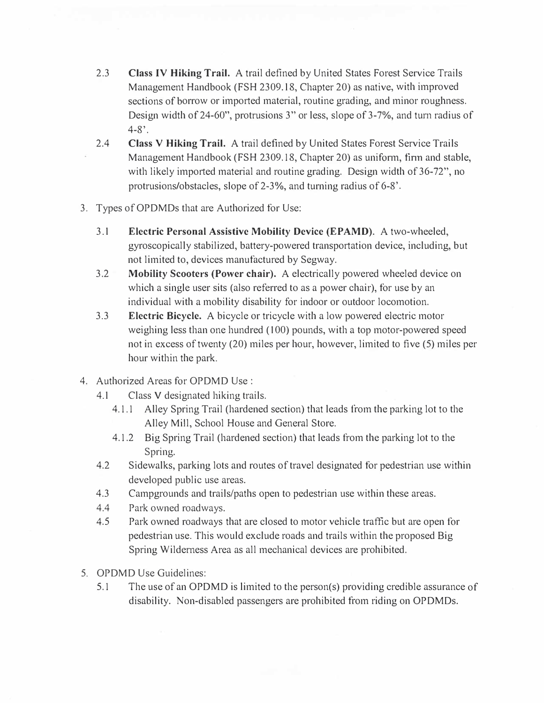- 2.3 **Class IV Hiking Trail.** A trail defined by United States Forest Service Trails Management Handbook (FSH 2309.18, Chapter 20) as native, with improved sections of borrow or imported material, routine grading, and minor roughness. Design width of 24-60", protrusions 3" or less, slope of 3-7%, and turn radius of  $4 - 8$ '.
- 2.4 **Class V Hiking Trail.** A trail defined by United States Forest Service Trails Management Handbook (FSH 2309.18, Chapter 20) as uniform, finn and stable, with likely imported material and routine grading. Design width of 36-72", no protrusions/obstacles, slope of 2-3%, and turning radius of 6-8'.
- 3. Types of OPDMDs that are Authorized for Use:
	- 3.1 **Electric Personal Assistive Mobility Device (EPAMD).** A two-wheeled, gyroscopically stabilized, battery-powered transportation device, including, but not limited to, devices manufactured by Segway.
	- 3.2 **Mobility Scooters (Power chair).** A electrically powered wheeled device on which a single user sits (also referred to as a power chair), for use by an individual with a mobility disability for indoor or outdoor locomotion.
	- 3.3 **Electric Bicycle.** A bicycle or tricycle with a low powered electric motor weighing less than one hundred (100) pounds, with a top motor-powered speed not in excess of twenty (20) miles per hour, however, limited to five (5) miles per hour within the park.
- 4. Authorized Areas for OPDMD Use :
	- 4.1 Class V designated hiking trails.
		- 4.1.1 Alley Spring Trail (hardened section) that leads from the parking lot to the Alley Mill, School House and General Store.
		- 4.1.2 Big Spring Trail (hardened section) that leads from the parking lot to the Spring.
	- 4.2 Sidewalks, parking lots and routes of travel designated for pedestrian use within developed public use areas.
	- 4.3 Campgrounds and trails/paths open to pedestrian use within these areas.
	- 4.4 Park owned roadways.
	- 4.5 Park owned roadways that are closed to motor vehicle traffic but are open for pedestrian use. This would exclude roads and trails within the proposed Big Spring Wilderness Area as all mechanical devices are prohibited.
- 5. OPDMD Use Guidelines:
	- 5.1 The use of an OPDMD is limited to the person(s) providing credible assurance of disability. Non-disabled passengers are prohibited from riding on OPDMDs.